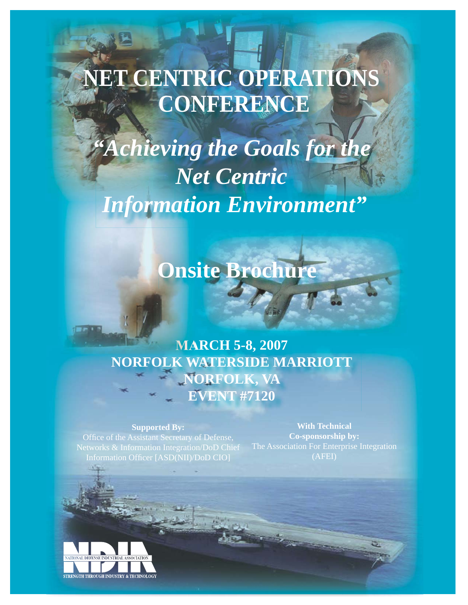# **ET CENTRIC OPERATIONS CONFERENCE**

*"Achieving the Goals for the Net Centric Information Environment"*

## **Onsite Brochure**

## **MARCH 5-8, 2007 NORFOLK WATERSIDE MARRIOTT NORFOLK, VA EVENT #7120**

#### **Supported By:**

Office of the Assistant Secretary of Defense, Information Officer [ASD(NII)/DoD CIO]

**With Technical Co-sponsorship by:** (AFEI)

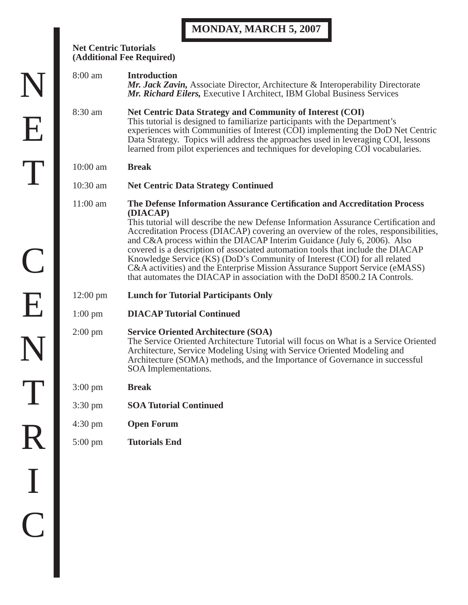## **MONDAY, MARCH 5, 2007**

| <b>Net Centric Tutorials</b><br>(Additional Fee Required) |                                                                                                                                                                                                                                                                                                                                                                                                                                                                                                                                                                                                                                                                              |  |
|-----------------------------------------------------------|------------------------------------------------------------------------------------------------------------------------------------------------------------------------------------------------------------------------------------------------------------------------------------------------------------------------------------------------------------------------------------------------------------------------------------------------------------------------------------------------------------------------------------------------------------------------------------------------------------------------------------------------------------------------------|--|
| 8:00 am                                                   | <b>Introduction</b><br>Mr. Jack Zavin, Associate Director, Architecture & Interoperability Directorate<br>Mr. Richard Eilers, Executive I Architect, IBM Global Business Services                                                                                                                                                                                                                                                                                                                                                                                                                                                                                            |  |
| 8:30 am                                                   | Net Centric Data Strategy and Community of Interest (COI)<br>This tutorial is designed to familiarize participants with the Department's<br>experiences with Communities of Interest (COI) implementing the DoD Net Centric<br>Data Strategy. Topics will address the approaches used in leveraging COI, lessons<br>learned from pilot experiences and techniques for developing COI vocabularies.                                                                                                                                                                                                                                                                           |  |
| $10:00$ am                                                | <b>Break</b>                                                                                                                                                                                                                                                                                                                                                                                                                                                                                                                                                                                                                                                                 |  |
| $10:30$ am                                                | <b>Net Centric Data Strategy Continued</b>                                                                                                                                                                                                                                                                                                                                                                                                                                                                                                                                                                                                                                   |  |
| $11:00$ am                                                | The Defense Information Assurance Certification and Accreditation Process<br>(DIACAP)<br>This tutorial will describe the new Defense Information Assurance Certification and<br>Accreditation Process (DIACAP) covering an overview of the roles, responsibilities,<br>and C&A process within the DIACAP Interim Guidance (July 6, 2006). Also<br>covered is a description of associated automation tools that include the DIACAP<br>Knowledge Service (KS) (DoD's Community of Interest (COI) for all related<br>C&A activities) and the Enterprise Mission Assurance Support Service (eMASS)<br>that automates the DIACAP in association with the DoDI 8500.2 IA Controls. |  |
| $12:00 \text{ pm}$                                        | <b>Lunch for Tutorial Participants Only</b>                                                                                                                                                                                                                                                                                                                                                                                                                                                                                                                                                                                                                                  |  |
| $1:00 \text{ pm}$                                         | <b>DIACAP Tutorial Continued</b>                                                                                                                                                                                                                                                                                                                                                                                                                                                                                                                                                                                                                                             |  |
| $2:00 \text{ pm}$                                         | <b>Service Oriented Architecture (SOA)</b><br>The Service Oriented Architecture Tutorial will focus on What is a Service Oriented<br>Architecture, Service Modeling Using with Service Oriented Modeling and<br>Architecture (SOMA) methods, and the Importance of Governance in successful<br>SOA Implementations.                                                                                                                                                                                                                                                                                                                                                          |  |
| $3:00 \text{ pm}$                                         | <b>Break</b>                                                                                                                                                                                                                                                                                                                                                                                                                                                                                                                                                                                                                                                                 |  |
| $3:30 \text{ pm}$                                         | <b>SOA Tutorial Continued</b>                                                                                                                                                                                                                                                                                                                                                                                                                                                                                                                                                                                                                                                |  |
| $4:30 \text{ pm}$                                         | <b>Open Forum</b>                                                                                                                                                                                                                                                                                                                                                                                                                                                                                                                                                                                                                                                            |  |
| 5:00 pm                                                   | <b>Tutorials End</b>                                                                                                                                                                                                                                                                                                                                                                                                                                                                                                                                                                                                                                                         |  |

N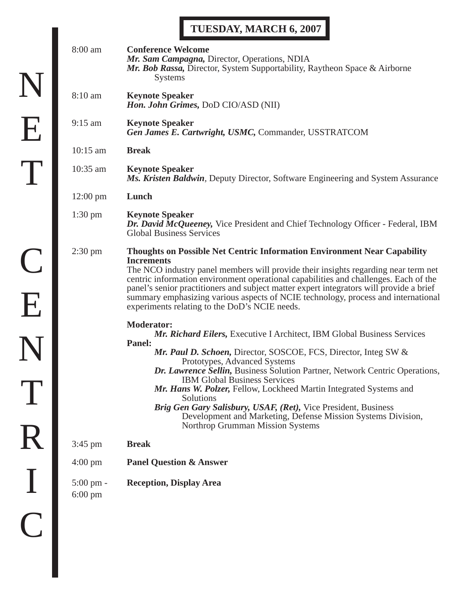## **TUESDAY, MARCH 6, 2007**

| 8:00 am                                  | <b>Conference Welcome</b><br>Mr. Sam Campagna, Director, Operations, NDIA<br>Mr. Bob Rassa, Director, System Supportability, Raytheon Space & Airborne<br><b>Systems</b>                                                                                                                                                                                                                                                                                                                                                                                                                        |
|------------------------------------------|-------------------------------------------------------------------------------------------------------------------------------------------------------------------------------------------------------------------------------------------------------------------------------------------------------------------------------------------------------------------------------------------------------------------------------------------------------------------------------------------------------------------------------------------------------------------------------------------------|
| 8:10 am                                  | <b>Keynote Speaker</b><br>Hon. John Grimes, DoD CIO/ASD (NII)                                                                                                                                                                                                                                                                                                                                                                                                                                                                                                                                   |
| $9:15$ am                                | <b>Keynote Speaker</b><br>Gen James E. Cartwright, USMC, Commander, USSTRATCOM                                                                                                                                                                                                                                                                                                                                                                                                                                                                                                                  |
| $10:15$ am                               | <b>Break</b>                                                                                                                                                                                                                                                                                                                                                                                                                                                                                                                                                                                    |
| 10:35 am                                 | <b>Keynote Speaker</b><br>Ms. Kristen Baldwin, Deputy Director, Software Engineering and System Assurance                                                                                                                                                                                                                                                                                                                                                                                                                                                                                       |
| $12:00 \text{ pm}$                       | Lunch                                                                                                                                                                                                                                                                                                                                                                                                                                                                                                                                                                                           |
| $1:30 \text{ pm}$                        | <b>Keynote Speaker</b><br>Dr. David McQueeney, Vice President and Chief Technology Officer - Federal, IBM<br><b>Global Business Services</b>                                                                                                                                                                                                                                                                                                                                                                                                                                                    |
| $2:30 \text{ pm}$                        | Thoughts on Possible Net Centric Information Environment Near Capability<br><b>Increments</b><br>The NCO industry panel members will provide their insights regarding near term net<br>centric information environment operational capabilities and challenges. Each of the<br>panel's senior practitioners and subject matter expert integrators will provide a brief<br>summary emphasizing various aspects of NCIE technology, process and international<br>experiments relating to the DoD's NCIE needs.                                                                                    |
|                                          | <b>Moderator:</b><br>Mr. Richard Eilers, Executive I Architect, IBM Global Business Services<br><b>Panel:</b><br>Mr. Paul D. Schoen, Director, SOSCOE, FCS, Director, Integ SW &<br>Prototypes, Advanced Systems<br>Dr. Lawrence Sellin, Business Solution Partner, Network Centric Operations,<br><b>IBM Global Business Services</b><br>Mr. Hans W. Polzer, Fellow, Lockheed Martin Integrated Systems and<br>Solutions<br>Brig Gen Gary Salisbury, USAF, (Ret), Vice President, Business<br>Development and Marketing, Defense Mission Systems Division,<br>Northrop Grumman Mission Systems |
| 3:45 pm                                  | <b>Break</b>                                                                                                                                                                                                                                                                                                                                                                                                                                                                                                                                                                                    |
| $4:00 \text{ pm}$                        | <b>Panel Question &amp; Answer</b>                                                                                                                                                                                                                                                                                                                                                                                                                                                                                                                                                              |
| $5:00 \text{ pm} -$<br>$6:00 \text{ pm}$ | <b>Reception, Display Area</b>                                                                                                                                                                                                                                                                                                                                                                                                                                                                                                                                                                  |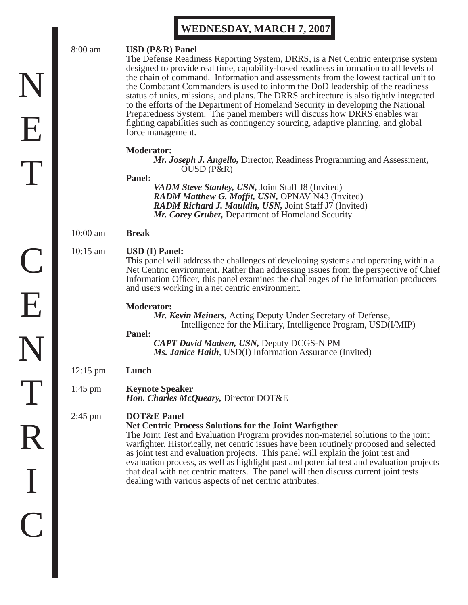### **WEDNESDAY, MARCH 7, 2007**

#### 8:00 am **USD (P&R) Panel**

 The Defense Readiness Reporting System, DRRS, is a Net Centric enterprise system designed to provide real time, capability-based readiness information to all levels of the chain of command. Information and assessments from the lowest tactical unit to the Combatant Commanders is used to inform the DoD leadership of the readiness status of units, missions, and plans. The DRRS architecture is also tightly integrated to the efforts of the Department of Homeland Security in developing the National Preparedness System. The panel members will discuss how DRRS enables war fighting capabilities such as contingency sourcing, adaptive planning, and global force management.

#### **Moderator:**

 *Mr. Joseph J. Angello,* Director, Readiness Programming and Assessment, OUSD (P&R)

#### **Panel:**

 *VADM Steve Stanley, USN,* Joint Staff J8 (Invited) *RADM Matthew G. Moffit, USN, OPNAV N43 (Invited) RADM Richard J. Mauldin, USN,* Joint Staff J7 (Invited) *Mr. Corey Gruber,* Department of Homeland Security

#### 10:00 am **Break**

#### 10:15 am **USD (I) Panel:**

 This panel will address the challenges of developing systems and operating within a Net Centric environment. Rather than addressing issues from the perspective of Chief Information Officer, this panel examines the challenges of the information producers and users working in a net centric environment.

#### **Moderator:**

 *Mr. Kevin Meiners,* Acting Deputy Under Secretary of Defense, Intelligence for the Military, Intelligence Program, USD(I/MIP)

#### **Panel:**

 *CAPT David Madsen, USN,* Deputy DCGS-N PM *Ms. Janice Haith,* USD(I) Information Assurance (Invited)

12:15 pm **Lunch**

#### 1:45 pm **Keynote Speaker** *Hon. Charles McQueary,* Director DOT&E

#### 2:45 pm **DOT&E Panel**

#### **Net Centric Process Solutions for the Joint Warfigther**

The Joint Test and Evaluation Program provides non-materiel solutions to the joint warfighter. Historically, net centric issues have been routinely proposed and selected as joint test and evaluation projects. This panel will explain the joint test and evaluation process, as well as highlight past and potential test and evaluation projects that deal with net centric matters. The panel will then discuss current joint tests dealing with various aspects of net centric attributes.